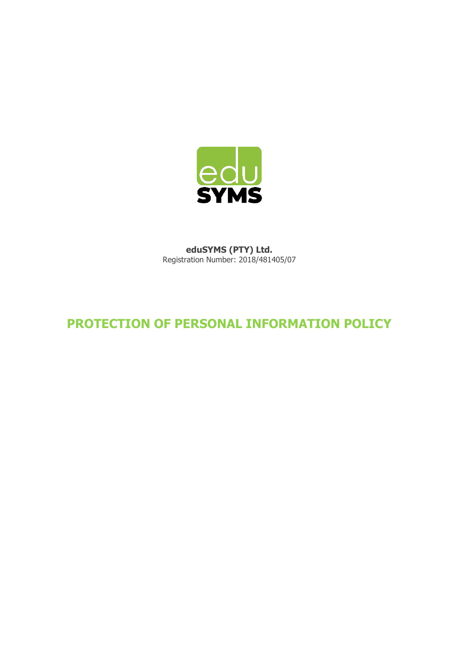

**eduSYMS (PTY) Ltd.**  Registration Number: 2018/481405/07

## **PROTECTION OF PERSONAL INFORMATION POLICY**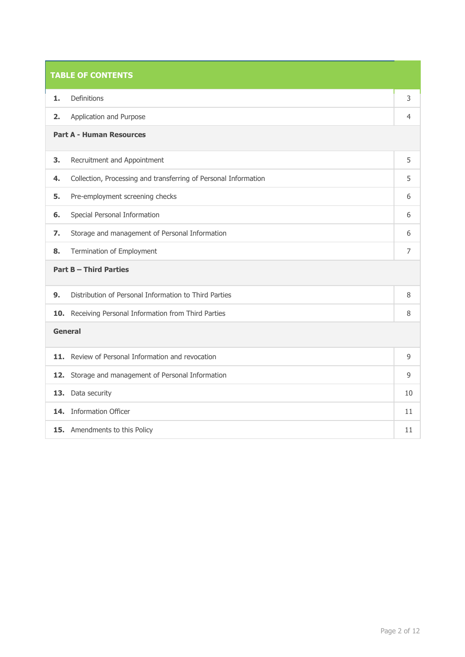| <b>TABLE OF CONTENTS</b> |                                                                 |                |  |
|--------------------------|-----------------------------------------------------------------|----------------|--|
| 1.                       | Definitions                                                     | 3              |  |
| 2.                       | Application and Purpose                                         | 4              |  |
|                          | <b>Part A - Human Resources</b>                                 |                |  |
| 3.                       | Recruitment and Appointment                                     | 5              |  |
| 4.                       | Collection, Processing and transferring of Personal Information | 5              |  |
| 5.                       | Pre-employment screening checks                                 | 6              |  |
| 6.                       | Special Personal Information                                    | 6              |  |
| 7.                       | Storage and management of Personal Information                  | 6              |  |
| 8.                       | Termination of Employment                                       | $\overline{7}$ |  |
|                          | <b>Part B - Third Parties</b>                                   |                |  |
| 9.                       | Distribution of Personal Information to Third Parties           | 8              |  |
|                          | 10. Receiving Personal Information from Third Parties           | 8              |  |
|                          | General                                                         |                |  |
|                          | 11. Review of Personal Information and revocation               | 9              |  |
|                          | 12. Storage and management of Personal Information              | 9              |  |
|                          | 13. Data security                                               | 10             |  |
|                          | 14. Information Officer                                         | 11             |  |
|                          | 15. Amendments to this Policy                                   | 11             |  |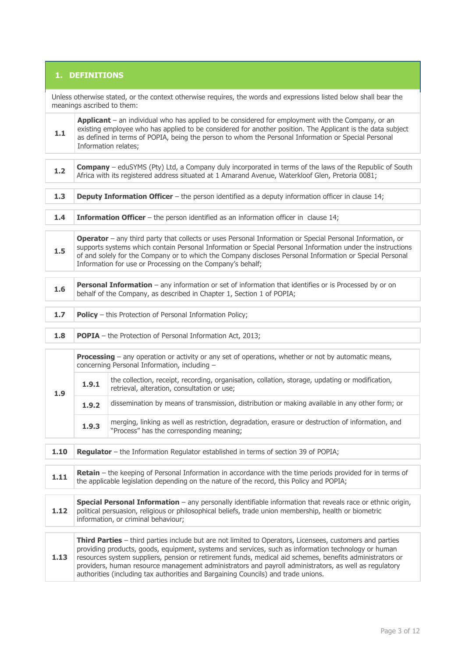## **1. DEFINITIONS**

| Unless otherwise stated, or the context otherwise requires, the words and expressions listed below shall bear the<br>meanings ascribed to them: |                                                                                                                                                                                                                                                                                                                                                                                                                                                                                                                           |                                                                                                                                                                                                                                                                                                                                                |  |  |
|-------------------------------------------------------------------------------------------------------------------------------------------------|---------------------------------------------------------------------------------------------------------------------------------------------------------------------------------------------------------------------------------------------------------------------------------------------------------------------------------------------------------------------------------------------------------------------------------------------------------------------------------------------------------------------------|------------------------------------------------------------------------------------------------------------------------------------------------------------------------------------------------------------------------------------------------------------------------------------------------------------------------------------------------|--|--|
| 1.1                                                                                                                                             |                                                                                                                                                                                                                                                                                                                                                                                                                                                                                                                           | Applicant - an individual who has applied to be considered for employment with the Company, or an<br>existing employee who has applied to be considered for another position. The Applicant is the data subject<br>as defined in terms of POPIA, being the person to whom the Personal Information or Special Personal<br>Information relates; |  |  |
| $1.2$                                                                                                                                           |                                                                                                                                                                                                                                                                                                                                                                                                                                                                                                                           | <b>Company</b> – eduSYMS (Pty) Ltd, a Company duly incorporated in terms of the laws of the Republic of South<br>Africa with its registered address situated at 1 Amarand Avenue, Waterkloof Glen, Pretoria 0081;                                                                                                                              |  |  |
| 1.3                                                                                                                                             |                                                                                                                                                                                                                                                                                                                                                                                                                                                                                                                           | <b>Deputy Information Officer</b> - the person identified as a deputy information officer in clause 14;                                                                                                                                                                                                                                        |  |  |
| 1.4                                                                                                                                             |                                                                                                                                                                                                                                                                                                                                                                                                                                                                                                                           | Information Officer - the person identified as an information officer in clause 14;                                                                                                                                                                                                                                                            |  |  |
| 1.5                                                                                                                                             | Operator - any third party that collects or uses Personal Information or Special Personal Information, or<br>supports systems which contain Personal Information or Special Personal Information under the instructions<br>of and solely for the Company or to which the Company discloses Personal Information or Special Personal<br>Information for use or Processing on the Company's behalf;                                                                                                                         |                                                                                                                                                                                                                                                                                                                                                |  |  |
| 1.6                                                                                                                                             | Personal Information - any information or set of information that identifies or is Processed by or on<br>behalf of the Company, as described in Chapter 1, Section 1 of POPIA;                                                                                                                                                                                                                                                                                                                                            |                                                                                                                                                                                                                                                                                                                                                |  |  |
| 1.7                                                                                                                                             | <b>Policy</b> - this Protection of Personal Information Policy;                                                                                                                                                                                                                                                                                                                                                                                                                                                           |                                                                                                                                                                                                                                                                                                                                                |  |  |
| 1.8                                                                                                                                             | <b>POPIA</b> - the Protection of Personal Information Act, 2013;                                                                                                                                                                                                                                                                                                                                                                                                                                                          |                                                                                                                                                                                                                                                                                                                                                |  |  |
|                                                                                                                                                 | <b>Processing</b> $-$ any operation or activity or any set of operations, whether or not by automatic means,<br>concerning Personal Information, including -                                                                                                                                                                                                                                                                                                                                                              |                                                                                                                                                                                                                                                                                                                                                |  |  |
| 1.9                                                                                                                                             | 1.9.1                                                                                                                                                                                                                                                                                                                                                                                                                                                                                                                     | the collection, receipt, recording, organisation, collation, storage, updating or modification,<br>retrieval, alteration, consultation or use;                                                                                                                                                                                                 |  |  |
|                                                                                                                                                 | 1.9.2                                                                                                                                                                                                                                                                                                                                                                                                                                                                                                                     | dissemination by means of transmission, distribution or making available in any other form; or                                                                                                                                                                                                                                                 |  |  |
|                                                                                                                                                 | 1.9.3                                                                                                                                                                                                                                                                                                                                                                                                                                                                                                                     | merging, linking as well as restriction, degradation, erasure or destruction of information, and<br>"Process" has the corresponding meaning;                                                                                                                                                                                                   |  |  |
| 1.10                                                                                                                                            | Regulator - the Information Regulator established in terms of section 39 of POPIA;                                                                                                                                                                                                                                                                                                                                                                                                                                        |                                                                                                                                                                                                                                                                                                                                                |  |  |
| 1.11                                                                                                                                            | Retain - the keeping of Personal Information in accordance with the time periods provided for in terms of<br>the applicable legislation depending on the nature of the record, this Policy and POPIA;                                                                                                                                                                                                                                                                                                                     |                                                                                                                                                                                                                                                                                                                                                |  |  |
| 1.12                                                                                                                                            | Special Personal Information - any personally identifiable information that reveals race or ethnic origin,<br>political persuasion, religious or philosophical beliefs, trade union membership, health or biometric<br>information, or criminal behaviour;                                                                                                                                                                                                                                                                |                                                                                                                                                                                                                                                                                                                                                |  |  |
| 1.13                                                                                                                                            | Third Parties - third parties include but are not limited to Operators, Licensees, customers and parties<br>providing products, goods, equipment, systems and services, such as information technology or human<br>resources system suppliers, pension or retirement funds, medical aid schemes, benefits administrators or<br>providers, human resource management administrators and payroll administrators, as well as regulatory<br>authorities (including tax authorities and Bargaining Councils) and trade unions. |                                                                                                                                                                                                                                                                                                                                                |  |  |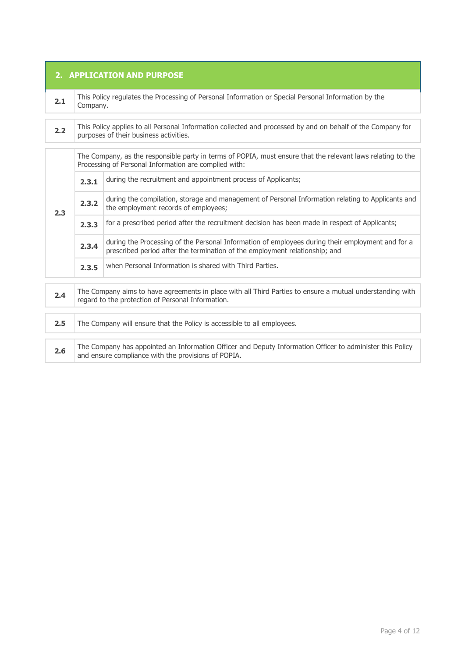| 2. APPLICATION AND PURPOSE |                                                                                                                                                                  |                                                                                                                                                                                 |  |
|----------------------------|------------------------------------------------------------------------------------------------------------------------------------------------------------------|---------------------------------------------------------------------------------------------------------------------------------------------------------------------------------|--|
| 2.1                        | This Policy regulates the Processing of Personal Information or Special Personal Information by the<br>Company.                                                  |                                                                                                                                                                                 |  |
| 2.2                        | This Policy applies to all Personal Information collected and processed by and on behalf of the Company for<br>purposes of their business activities.            |                                                                                                                                                                                 |  |
|                            |                                                                                                                                                                  | The Company, as the responsible party in terms of POPIA, must ensure that the relevant laws relating to the<br>Processing of Personal Information are complied with:            |  |
|                            | 2.3.1                                                                                                                                                            | during the recruitment and appointment process of Applicants;                                                                                                                   |  |
| 2.3                        | 2.3.2                                                                                                                                                            | during the compilation, storage and management of Personal Information relating to Applicants and<br>the employment records of employees;                                       |  |
|                            | 2.3.3                                                                                                                                                            | for a prescribed period after the recruitment decision has been made in respect of Applicants;                                                                                  |  |
|                            | 2.3.4                                                                                                                                                            | during the Processing of the Personal Information of employees during their employment and for a<br>prescribed period after the termination of the employment relationship; and |  |
|                            | 2.3.5                                                                                                                                                            | when Personal Information is shared with Third Parties.                                                                                                                         |  |
| 2.4                        | The Company aims to have agreements in place with all Third Parties to ensure a mutual understanding with<br>regard to the protection of Personal Information.   |                                                                                                                                                                                 |  |
| 2.5                        | The Company will ensure that the Policy is accessible to all employees.                                                                                          |                                                                                                                                                                                 |  |
| 2.6                        | The Company has appointed an Information Officer and Deputy Information Officer to administer this Policy<br>and ensure compliance with the provisions of POPIA. |                                                                                                                                                                                 |  |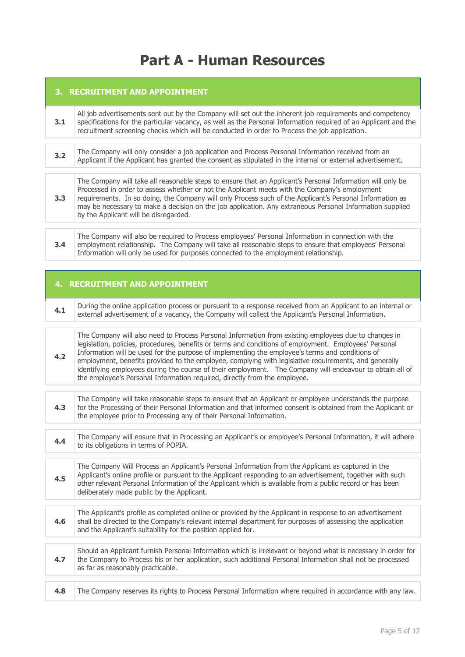# **Part A - Human Resources**

| 3. RECRUITMENT AND APPOINTMENT |                                                                                                                                                                                                                                                                                                                                                                                                                                                                                                                                                                                                                     |  |
|--------------------------------|---------------------------------------------------------------------------------------------------------------------------------------------------------------------------------------------------------------------------------------------------------------------------------------------------------------------------------------------------------------------------------------------------------------------------------------------------------------------------------------------------------------------------------------------------------------------------------------------------------------------|--|
| 3.1                            | All job advertisements sent out by the Company will set out the inherent job requirements and competency<br>specifications for the particular vacancy, as well as the Personal Information required of an Applicant and the<br>recruitment screening checks which will be conducted in order to Process the job application.                                                                                                                                                                                                                                                                                        |  |
| 3.2                            | The Company will only consider a job application and Process Personal Information received from an<br>Applicant if the Applicant has granted the consent as stipulated in the internal or external advertisement.                                                                                                                                                                                                                                                                                                                                                                                                   |  |
| 3.3                            | The Company will take all reasonable steps to ensure that an Applicant's Personal Information will only be<br>Processed in order to assess whether or not the Applicant meets with the Company's employment<br>requirements. In so doing, the Company will only Process such of the Applicant's Personal Information as<br>may be necessary to make a decision on the job application. Any extraneous Personal Information supplied<br>by the Applicant will be disregarded.                                                                                                                                        |  |
| 3.4                            | The Company will also be required to Process employees' Personal Information in connection with the<br>employment relationship. The Company will take all reasonable steps to ensure that employees' Personal<br>Information will only be used for purposes connected to the employment relationship.                                                                                                                                                                                                                                                                                                               |  |
|                                |                                                                                                                                                                                                                                                                                                                                                                                                                                                                                                                                                                                                                     |  |
|                                | <b>4. RECRUITMENT AND APPOINTMENT</b>                                                                                                                                                                                                                                                                                                                                                                                                                                                                                                                                                                               |  |
| 4.1                            | During the online application process or pursuant to a response received from an Applicant to an internal or<br>external advertisement of a vacancy, the Company will collect the Applicant's Personal Information.                                                                                                                                                                                                                                                                                                                                                                                                 |  |
| 4.2                            | The Company will also need to Process Personal Information from existing employees due to changes in<br>legislation, policies, procedures, benefits or terms and conditions of employment. Employees' Personal<br>Information will be used for the purpose of implementing the employee's terms and conditions of<br>employment, benefits provided to the employee, complying with legislative requirements, and generally<br>identifying employees during the course of their employment. The Company will endeavour to obtain all of<br>the employee's Personal Information required, directly from the employee. |  |
| 4.3                            | The Company will take reasonable steps to ensure that an Applicant or employee understands the purpose<br>for the Processing of their Personal Information and that informed consent is obtained from the Applicant or<br>the employee prior to Processing any of their Personal Information.                                                                                                                                                                                                                                                                                                                       |  |

**4.4** The Company will ensure that in Processing an Applicant's or employee's Personal Information, it will adhere to its obligations in terms of POPIA.

**4.5** The Company Will Process an Applicant's Personal Information from the Applicant as captured in the Applicant's online profile or pursuant to the Applicant responding to an advertisement, together with such other relevant Personal Information of the Applicant which is available from a public record or has been deliberately made public by the Applicant.

- **4.6** The Applicant's profile as completed online or provided by the Applicant in response to an advertisement shall be directed to the Company's relevant internal department for purposes of assessing the application and the Applicant's suitability for the position applied for. **4.7** Should an Applicant furnish Personal Information which is irrelevant or beyond what is necessary in order for the Company to Process his or her application, such additional Personal Information shall not be processed as far as reasonably practicable.
- **4.8** The Company reserves its rights to Process Personal Information where required in accordance with any law.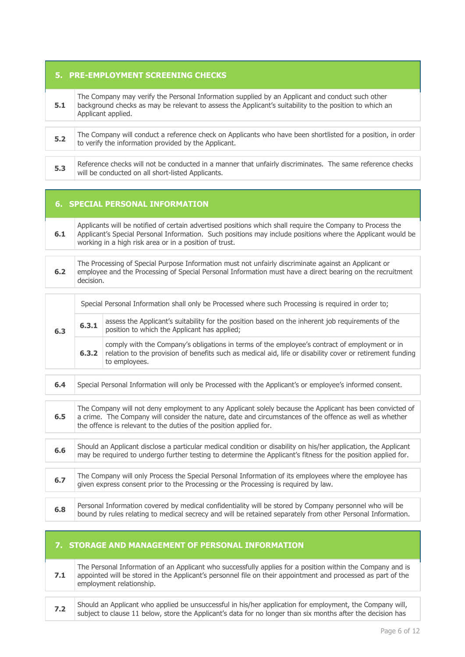### **5. PRE-EMPLOYMENT SCREENING CHECKS**

|  | The Company may verify the Personal Information supplied by an Applicant and conduct such other<br>background checks as may be relevant to assess the Applicant's suitability to the position to which an<br>Applicant applied. |
|--|---------------------------------------------------------------------------------------------------------------------------------------------------------------------------------------------------------------------------------|
|--|---------------------------------------------------------------------------------------------------------------------------------------------------------------------------------------------------------------------------------|

**5.2** The Company will conduct a reference check on Applicants who have been shortlisted for a position, in order to verify the information provided by the Applicant.

**5.3** Reference checks will not be conducted in a manner that unfairly discriminates. The same reference checks will be conducted on all short-listed Applicants.

### **6. SPECIAL PERSONAL INFORMATION**

**6.1** Applicants will be notified of certain advertised positions which shall require the Company to Process the Applicant's Special Personal Information. Such positions may include positions where the Applicant would be working in a high risk area or in a position of trust.

**6.2** The Processing of Special Purpose Information must not unfairly discriminate against an Applicant or employee and the Processing of Special Personal Information must have a direct bearing on the recruitment decision.

| 6.3 | Special Personal Information shall only be Processed where such Processing is required in order to; |                                                                                                                                                                                                                             |  |
|-----|-----------------------------------------------------------------------------------------------------|-----------------------------------------------------------------------------------------------------------------------------------------------------------------------------------------------------------------------------|--|
|     | 6.3.1                                                                                               | assess the Applicant's suitability for the position based on the inherent job requirements of the<br>position to which the Applicant has applied;                                                                           |  |
|     | 6, 3, 2                                                                                             | comply with the Company's obligations in terms of the employee's contract of employment or in<br>relation to the provision of benefits such as medical aid, life or disability cover or retirement funding<br>to employees. |  |

**6.4** Special Personal Information will only be Processed with the Applicant's or employee's informed consent. **6.5** The Company will not deny employment to any Applicant solely because the Applicant has been convicted of a crime. The Company will consider the nature, date and circumstances of the offence as well as whether the offence is relevant to the duties of the position applied for. **6.6** Should an Applicant disclose a particular medical condition or disability on his/her application, the Applicant may be required to undergo further testing to determine the Applicant's fitness for the position applied for. **6.7** The Company will only Process the Special Personal Information of its employees where the employee has given express consent prior to the Processing or the Processing is required by law. **6.8** Personal Information covered by medical confidentiality will be stored by Company personnel who will be **6.8** bound by rules relating to medical secrecy and will be retained separately from other Personal Information.

#### **7. STORAGE AND MANAGEMENT OF PERSONAL INFORMATION**

**7.1** The Personal Information of an Applicant who successfully applies for a position within the Company and is appointed will be stored in the Applicant's personnel file on their appointment and processed as part of the employment relationship.

**7.2** Should an Applicant who applied be unsuccessful in his/her application for employment, the Company will, subject to clause 11 below, store the Applicant's data for no longer than six months after the decision has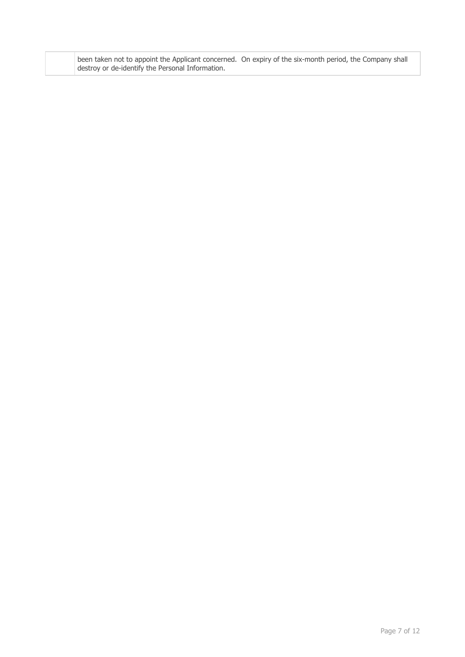|                                                  | been taken not to appoint the Applicant concerned. On expiry of the six-month period, the Company shall |
|--------------------------------------------------|---------------------------------------------------------------------------------------------------------|
| destroy or de-identify the Personal Information. |                                                                                                         |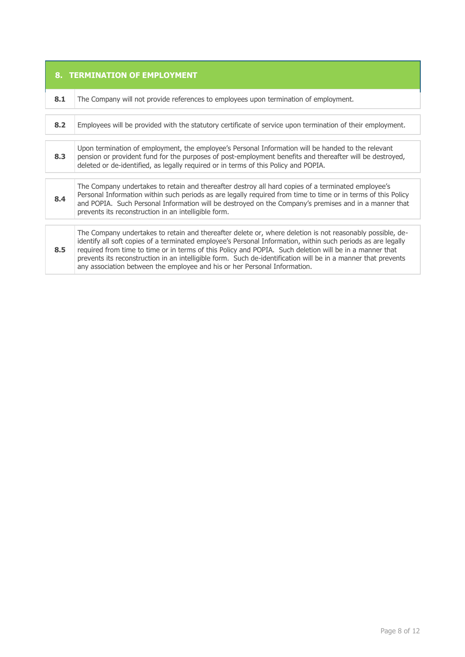| 8. TERMINATION OF EMPLOYMENT |                                                                                                                                                                                                                                                                                                                                                                                                                                                                                                                                    |  |
|------------------------------|------------------------------------------------------------------------------------------------------------------------------------------------------------------------------------------------------------------------------------------------------------------------------------------------------------------------------------------------------------------------------------------------------------------------------------------------------------------------------------------------------------------------------------|--|
| 8.1                          | The Company will not provide references to employees upon termination of employment.                                                                                                                                                                                                                                                                                                                                                                                                                                               |  |
| 8.2                          | Employees will be provided with the statutory certificate of service upon termination of their employment.                                                                                                                                                                                                                                                                                                                                                                                                                         |  |
| 8.3                          | Upon termination of employment, the employee's Personal Information will be handed to the relevant<br>pension or provident fund for the purposes of post-employment benefits and thereafter will be destroyed,<br>deleted or de-identified, as legally required or in terms of this Policy and POPIA.                                                                                                                                                                                                                              |  |
| 8.4                          | The Company undertakes to retain and thereafter destroy all hard copies of a terminated employee's<br>Personal Information within such periods as are legally required from time to time or in terms of this Policy<br>and POPIA. Such Personal Information will be destroyed on the Company's premises and in a manner that<br>prevents its reconstruction in an intelligible form.                                                                                                                                               |  |
| 8.5                          | The Company undertakes to retain and thereafter delete or, where deletion is not reasonably possible, de-<br>identify all soft copies of a terminated employee's Personal Information, within such periods as are legally<br>required from time to time or in terms of this Policy and POPIA. Such deletion will be in a manner that<br>prevents its reconstruction in an intelligible form. Such de-identification will be in a manner that prevents<br>any association between the employee and his or her Personal Information. |  |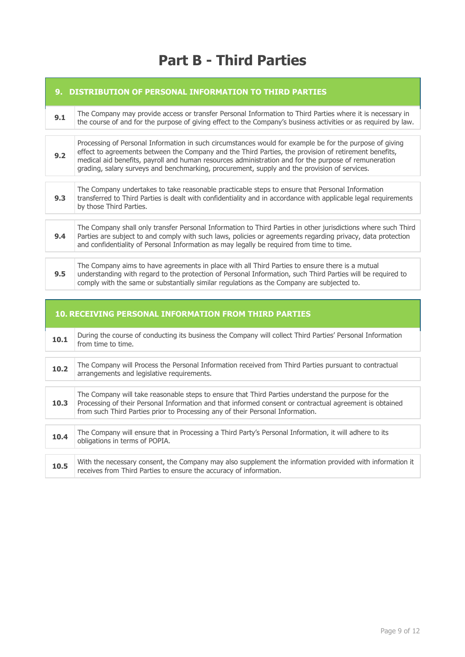# **Part B - Third Parties**

|     | 9. DISTRIBUTION OF PERSONAL INFORMATION TO THIRD PARTIES                                                                                                                                                                                                                                                                                                                                                                 |  |  |
|-----|--------------------------------------------------------------------------------------------------------------------------------------------------------------------------------------------------------------------------------------------------------------------------------------------------------------------------------------------------------------------------------------------------------------------------|--|--|
| 9.1 | The Company may provide access or transfer Personal Information to Third Parties where it is necessary in<br>the course of and for the purpose of giving effect to the Company's business activities or as required by law.                                                                                                                                                                                              |  |  |
| 9.2 | Processing of Personal Information in such circumstances would for example be for the purpose of giving<br>effect to agreements between the Company and the Third Parties, the provision of retirement benefits,<br>medical aid benefits, payroll and human resources administration and for the purpose of remuneration<br>grading, salary surveys and benchmarking, procurement, supply and the provision of services. |  |  |
| 9.3 | The Company undertakes to take reasonable practicable steps to ensure that Personal Information<br>transferred to Third Parties is dealt with confidentiality and in accordance with applicable legal requirements<br>by those Third Parties.                                                                                                                                                                            |  |  |
| 9.4 | The Company shall only transfer Personal Information to Third Parties in other jurisdictions where such Third<br>Parties are subject to and comply with such laws, policies or agreements regarding privacy, data protection<br>and confidentiality of Personal Information as may legally be required from time to time.                                                                                                |  |  |
| 9.5 | The Company aims to have agreements in place with all Third Parties to ensure there is a mutual<br>understanding with regard to the protection of Personal Information, such Third Parties will be required to<br>comply with the same or substantially similar regulations as the Company are subjected to.                                                                                                             |  |  |

| <b>10. RECEIVING PERSONAL INFORMATION FROM THIRD PARTIES</b> |                                                                                                                                                                                                                                                                                                 |  |
|--------------------------------------------------------------|-------------------------------------------------------------------------------------------------------------------------------------------------------------------------------------------------------------------------------------------------------------------------------------------------|--|
| 10.1                                                         | During the course of conducting its business the Company will collect Third Parties' Personal Information<br>from time to time.                                                                                                                                                                 |  |
| 10.2                                                         | The Company will Process the Personal Information received from Third Parties pursuant to contractual<br>arrangements and legislative requirements.                                                                                                                                             |  |
| 10.3                                                         | The Company will take reasonable steps to ensure that Third Parties understand the purpose for the<br>Processing of their Personal Information and that informed consent or contractual agreement is obtained<br>from such Third Parties prior to Processing any of their Personal Information. |  |
| 10.4                                                         | The Company will ensure that in Processing a Third Party's Personal Information, it will adhere to its<br>obligations in terms of POPIA.                                                                                                                                                        |  |
| 10.5                                                         | With the necessary consent, the Company may also supplement the information provided with information it<br>receives from Third Parties to ensure the accuracy of information.                                                                                                                  |  |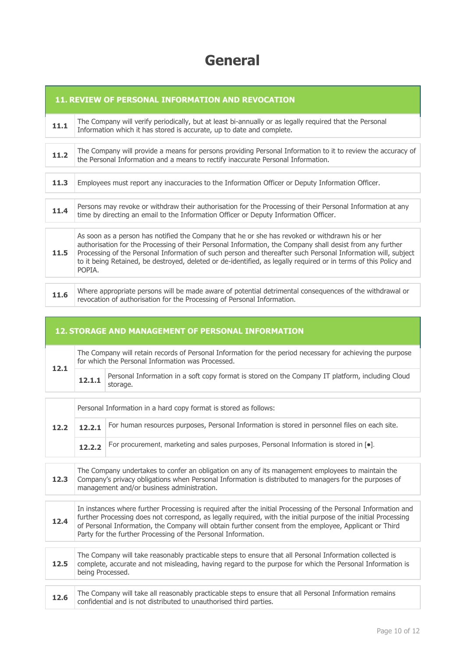# **General**

|      | 11. REVIEW OF PERSONAL INFORMATION AND REVOCATION                                                                                                                                                                                                                                                                                                                                                                                                          |  |  |
|------|------------------------------------------------------------------------------------------------------------------------------------------------------------------------------------------------------------------------------------------------------------------------------------------------------------------------------------------------------------------------------------------------------------------------------------------------------------|--|--|
| 11.1 | The Company will verify periodically, but at least bi-annually or as legally required that the Personal<br>Information which it has stored is accurate, up to date and complete.                                                                                                                                                                                                                                                                           |  |  |
| 11.2 | The Company will provide a means for persons providing Personal Information to it to review the accuracy of<br>the Personal Information and a means to rectify inaccurate Personal Information.                                                                                                                                                                                                                                                            |  |  |
| 11.3 | Employees must report any inaccuracies to the Information Officer or Deputy Information Officer.                                                                                                                                                                                                                                                                                                                                                           |  |  |
| 11.4 | Persons may revoke or withdraw their authorisation for the Processing of their Personal Information at any<br>time by directing an email to the Information Officer or Deputy Information Officer.                                                                                                                                                                                                                                                         |  |  |
| 11.5 | As soon as a person has notified the Company that he or she has revoked or withdrawn his or her<br>authorisation for the Processing of their Personal Information, the Company shall desist from any further<br>Processing of the Personal Information of such person and thereafter such Personal Information will, subject<br>to it being Retained, be destroyed, deleted or de-identified, as legally required or in terms of this Policy and<br>POPIA. |  |  |
| 11.6 | Where appropriate persons will be made aware of potential detrimental consequences of the withdrawal or<br>revocation of authorisation for the Processing of Personal Information.                                                                                                                                                                                                                                                                         |  |  |

### **12. STORAGE AND MANAGEMENT OF PERSONAL INFORMATION**

| 12.1 | The Company will retain records of Personal Information for the period necessary for achieving the purpose<br>for which the Personal Information was Processed.                                                                                                                                                                                                                                              |                                                                                                              |  |
|------|--------------------------------------------------------------------------------------------------------------------------------------------------------------------------------------------------------------------------------------------------------------------------------------------------------------------------------------------------------------------------------------------------------------|--------------------------------------------------------------------------------------------------------------|--|
|      | 12.1.1                                                                                                                                                                                                                                                                                                                                                                                                       | Personal Information in a soft copy format is stored on the Company IT platform, including Cloud<br>storage. |  |
|      |                                                                                                                                                                                                                                                                                                                                                                                                              |                                                                                                              |  |
|      | Personal Information in a hard copy format is stored as follows:                                                                                                                                                                                                                                                                                                                                             |                                                                                                              |  |
| 12.2 | 12.2.1                                                                                                                                                                                                                                                                                                                                                                                                       | For human resources purposes, Personal Information is stored in personnel files on each site.                |  |
|      | 12.2.2                                                                                                                                                                                                                                                                                                                                                                                                       | For procurement, marketing and sales purposes, Personal Information is stored in [.].                        |  |
|      |                                                                                                                                                                                                                                                                                                                                                                                                              |                                                                                                              |  |
| 12.3 | The Company undertakes to confer an obligation on any of its management employees to maintain the<br>Company's privacy obligations when Personal Information is distributed to managers for the purposes of<br>management and/or business administration.                                                                                                                                                    |                                                                                                              |  |
|      |                                                                                                                                                                                                                                                                                                                                                                                                              |                                                                                                              |  |
| 12.4 | In instances where further Processing is required after the initial Processing of the Personal Information and<br>further Processing does not correspond, as legally required, with the initial purpose of the initial Processing<br>of Personal Information, the Company will obtain further consent from the employee, Applicant or Third<br>Party for the further Processing of the Personal Information. |                                                                                                              |  |
|      |                                                                                                                                                                                                                                                                                                                                                                                                              |                                                                                                              |  |

**12.5** The Company will take reasonably practicable steps to ensure that all Personal Information collected is complete, accurate and not misleading, having regard to the purpose for which the Personal Information is being Processed.

| 12.6 | The Company will take all reasonably practicable steps to ensure that all Personal Information remains |
|------|--------------------------------------------------------------------------------------------------------|
|      | confidential and is not distributed to unauthorised third parties.                                     |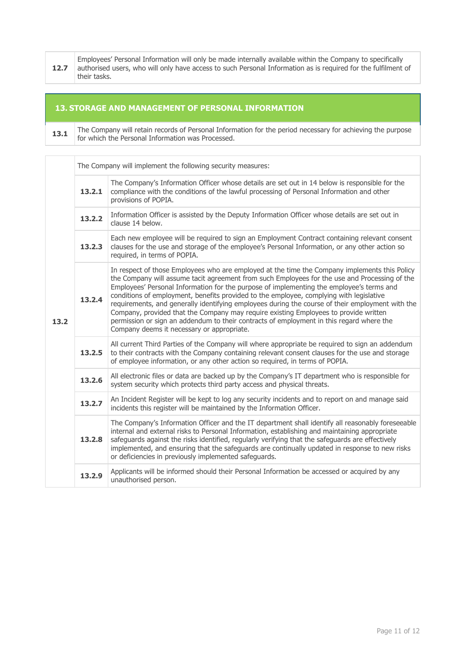**12.7** Employees' Personal Information will only be made internally available within the Company to specifically authorised users, who will only have access to such Personal Information as is required for the fulfilment of their tasks.

### **13. STORAGE AND MANAGEMENT OF PERSONAL INFORMATION**

**13.1** The Company will retain records of Personal Information for the period necessary for achieving the purpose for which the Personal Information was Processed.

|      | The Company will implement the following security measures: |                                                                                                                                                                                                                                                                                                                                                                                                                                                                                                                                                                                                                                                                                                                             |  |  |
|------|-------------------------------------------------------------|-----------------------------------------------------------------------------------------------------------------------------------------------------------------------------------------------------------------------------------------------------------------------------------------------------------------------------------------------------------------------------------------------------------------------------------------------------------------------------------------------------------------------------------------------------------------------------------------------------------------------------------------------------------------------------------------------------------------------------|--|--|
| 13.2 | 13.2.1                                                      | The Company's Information Officer whose details are set out in 14 below is responsible for the<br>compliance with the conditions of the lawful processing of Personal Information and other<br>provisions of POPIA.                                                                                                                                                                                                                                                                                                                                                                                                                                                                                                         |  |  |
|      | 13.2.2                                                      | Information Officer is assisted by the Deputy Information Officer whose details are set out in<br>clause 14 below.                                                                                                                                                                                                                                                                                                                                                                                                                                                                                                                                                                                                          |  |  |
|      | 13.2.3                                                      | Each new employee will be required to sign an Employment Contract containing relevant consent<br>clauses for the use and storage of the employee's Personal Information, or any other action so<br>required, in terms of POPIA.                                                                                                                                                                                                                                                                                                                                                                                                                                                                                             |  |  |
|      | 13.2.4                                                      | In respect of those Employees who are employed at the time the Company implements this Policy<br>the Company will assume tacit agreement from such Employees for the use and Processing of the<br>Employees' Personal Information for the purpose of implementing the employee's terms and<br>conditions of employment, benefits provided to the employee, complying with legislative<br>requirements, and generally identifying employees during the course of their employment with the<br>Company, provided that the Company may require existing Employees to provide written<br>permission or sign an addendum to their contracts of employment in this regard where the<br>Company deems it necessary or appropriate. |  |  |
|      | 13.2.5                                                      | All current Third Parties of the Company will where appropriate be required to sign an addendum<br>to their contracts with the Company containing relevant consent clauses for the use and storage<br>of employee information, or any other action so required, in terms of POPIA.                                                                                                                                                                                                                                                                                                                                                                                                                                          |  |  |
|      | 13.2.6                                                      | All electronic files or data are backed up by the Company's IT department who is responsible for<br>system security which protects third party access and physical threats.                                                                                                                                                                                                                                                                                                                                                                                                                                                                                                                                                 |  |  |
|      | 13.2.7                                                      | An Incident Register will be kept to log any security incidents and to report on and manage said<br>incidents this register will be maintained by the Information Officer.                                                                                                                                                                                                                                                                                                                                                                                                                                                                                                                                                  |  |  |
|      | 13.2.8                                                      | The Company's Information Officer and the IT department shall identify all reasonably foreseeable<br>internal and external risks to Personal Information, establishing and maintaining appropriate<br>safeguards against the risks identified, regularly verifying that the safeguards are effectively<br>implemented, and ensuring that the safeguards are continually updated in response to new risks<br>or deficiencies in previously implemented safeguards.                                                                                                                                                                                                                                                           |  |  |
|      | 13.2.9                                                      | Applicants will be informed should their Personal Information be accessed or acquired by any<br>unauthorised person.                                                                                                                                                                                                                                                                                                                                                                                                                                                                                                                                                                                                        |  |  |